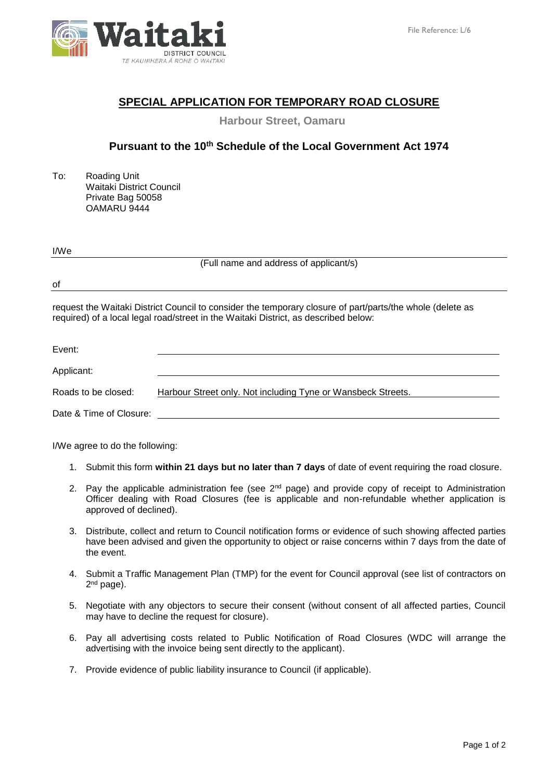

# **SPECIAL APPLICATION FOR TEMPORARY ROAD CLOSURE**

**Harbour Street, Oamaru**

## **Pursuant to the 10th Schedule of the Local Government Act 1974**

To: Roading Unit Waitaki District Council Private Bag 50058 OAMARU 9444

| I/We |  |
|------|--|

(Full name and address of applicant/s)

of

request the Waitaki District Council to consider the temporary closure of part/parts/the whole (delete as required) of a local legal road/street in the Waitaki District, as described below:

| Event:                  |                                                              |
|-------------------------|--------------------------------------------------------------|
| Applicant:              |                                                              |
| Roads to be closed:     | Harbour Street only. Not including Tyne or Wansbeck Streets. |
| Date & Time of Closure: |                                                              |

I/We agree to do the following:

- 1. Submit this form **within 21 days but no later than 7 days** of date of event requiring the road closure.
- 2. Pay the applicable administration fee (see 2<sup>nd</sup> page) and provide copy of receipt to Administration Officer dealing with Road Closures (fee is applicable and non-refundable whether application is approved of declined).
- 3. Distribute, collect and return to Council notification forms or evidence of such showing affected parties have been advised and given the opportunity to object or raise concerns within 7 days from the date of the event.
- 4. Submit a Traffic Management Plan (TMP) for the event for Council approval (see list of contractors on 2<sup>nd</sup> page).
- 5. Negotiate with any objectors to secure their consent (without consent of all affected parties, Council may have to decline the request for closure).
- 6. Pay all advertising costs related to Public Notification of Road Closures (WDC will arrange the advertising with the invoice being sent directly to the applicant).
- 7. Provide evidence of public liability insurance to Council (if applicable).